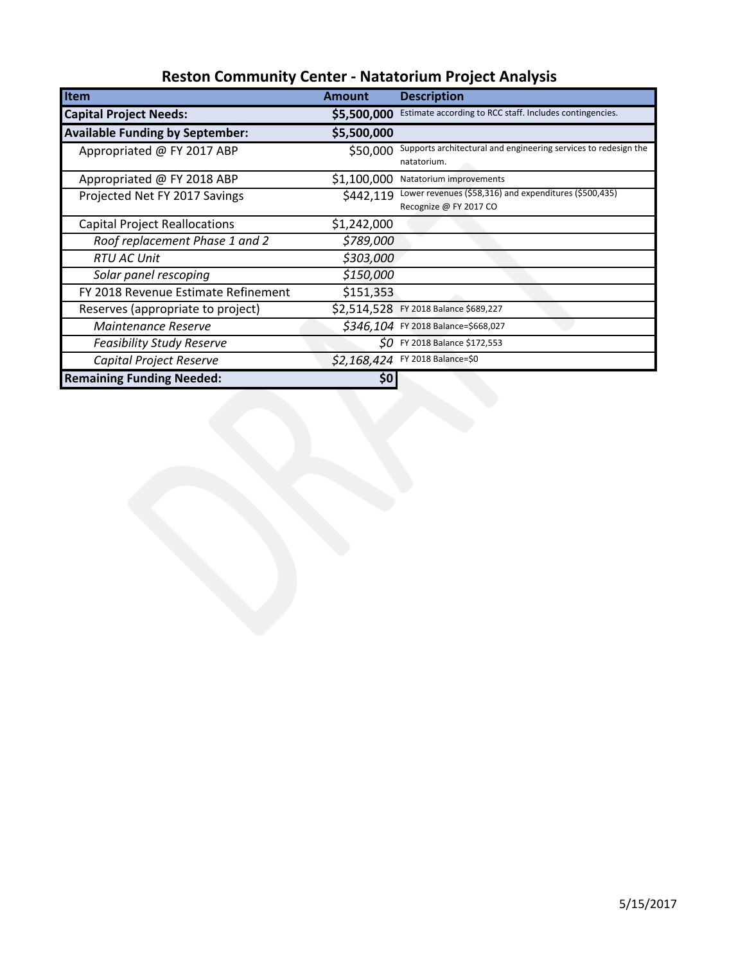| Item                                   | <b>Amount</b> | <b>Description</b>                                                               |
|----------------------------------------|---------------|----------------------------------------------------------------------------------|
| <b>Capital Project Needs:</b>          | \$5,500,000   | Estimate according to RCC staff. Includes contingencies.                         |
| <b>Available Funding by September:</b> | \$5,500,000   |                                                                                  |
| Appropriated @ FY 2017 ABP             | \$50,000      | Supports architectural and engineering services to redesign the<br>natatorium.   |
| Appropriated @ FY 2018 ABP             | \$1,100,000   | Natatorium improvements                                                          |
| Projected Net FY 2017 Savings          | \$442,119     | Lower revenues (\$58,316) and expenditures (\$500,435)<br>Recognize @ FY 2017 CO |
| <b>Capital Project Reallocations</b>   | \$1,242,000   |                                                                                  |
| Roof replacement Phase 1 and 2         | \$789,000     |                                                                                  |
| <b>RTU AC Unit</b>                     | \$303,000     |                                                                                  |
| Solar panel rescoping                  | \$150,000     |                                                                                  |
| FY 2018 Revenue Estimate Refinement    | \$151,353     |                                                                                  |
| Reserves (appropriate to project)      | \$2,514,528   | FY 2018 Balance \$689,227                                                        |
| <b>Maintenance Reserve</b>             |               | \$346,104 FY 2018 Balance=\$668,027                                              |
| <b>Feasibility Study Reserve</b>       |               | $SO$ FY 2018 Balance \$172,553                                                   |
| Capital Project Reserve                | \$2,168,424   | FY 2018 Balance=\$0                                                              |
| <b>Remaining Funding Needed:</b>       | 50            |                                                                                  |